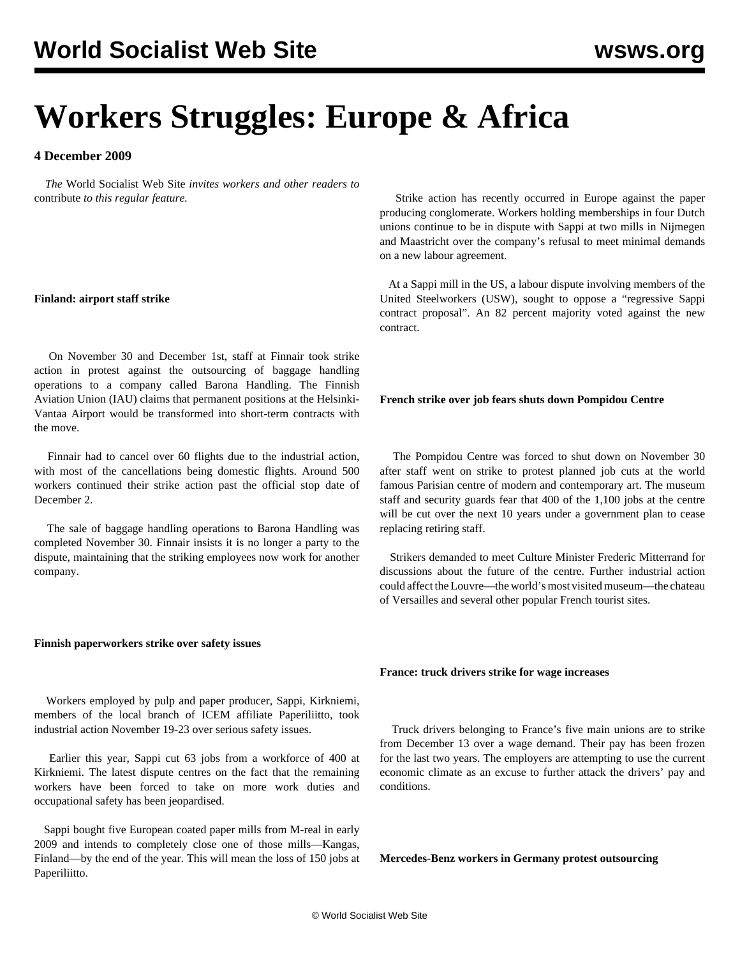# **Workers Struggles: Europe & Africa**

# **4 December 2009**

 *The* World Socialist Web Site *invites workers and other readers to* [contribute](/wsws/dd-formmailer/dd-formmailer.php) *to this regular feature.*

# **Finland: airport staff strike**

 On November 30 and December 1st, staff at Finnair took strike action in protest against the outsourcing of baggage handling operations to a company called Barona Handling. The Finnish Aviation Union (IAU) claims that permanent positions at the Helsinki-Vantaa Airport would be transformed into short-term contracts with the move.

 Finnair had to cancel over 60 flights due to the industrial action, with most of the cancellations being domestic flights. Around 500 workers continued their strike action past the official stop date of December 2.

 The sale of baggage handling operations to Barona Handling was completed November 30. Finnair insists it is no longer a party to the dispute, maintaining that the striking employees now work for another company.

# **Finnish paperworkers strike over safety issues**

 Workers employed by pulp and paper producer, Sappi, Kirkniemi, members of the local branch of ICEM affiliate Paperiliitto, took industrial action November 19-23 over serious safety issues.

 Earlier this year, Sappi cut 63 jobs from a workforce of 400 at Kirkniemi. The latest dispute centres on the fact that the remaining workers have been forced to take on more work duties and occupational safety has been jeopardised.

 Sappi bought five European coated paper mills from M-real in early 2009 and intends to completely close one of those mills—Kangas, Finland—by the end of the year. This will mean the loss of 150 jobs at Paperiliitto.

 Strike action has recently occurred in Europe against the paper producing conglomerate. Workers holding memberships in four Dutch unions continue to be in dispute with Sappi at two mills in Nijmegen and Maastricht over the company's refusal to meet minimal demands on a new labour agreement.

 At a Sappi mill in the US, a labour dispute involving members of the United Steelworkers (USW), sought to oppose a "regressive Sappi contract proposal". An 82 percent majority voted against the new contract.

# **French strike over job fears shuts down Pompidou Centre**

 The Pompidou Centre was forced to shut down on November 30 after staff went on strike to protest planned job cuts at the world famous Parisian centre of modern and contemporary art. The museum staff and security guards fear that 400 of the 1,100 jobs at the centre will be cut over the next 10 years under a government plan to cease replacing retiring staff.

 Strikers demanded to meet Culture Minister Frederic Mitterrand for discussions about the future of the centre. Further industrial action could affect the Louvre—the world's most visited museum—the chateau of Versailles and several other popular French tourist sites.

# **France: truck drivers strike for wage increases**

 Truck drivers belonging to France's five main unions are to strike from December 13 over a wage demand. Their pay has been frozen for the last two years. The employers are attempting to use the current economic climate as an excuse to further attack the drivers' pay and conditions.

**Mercedes-Benz workers in Germany protest outsourcing**